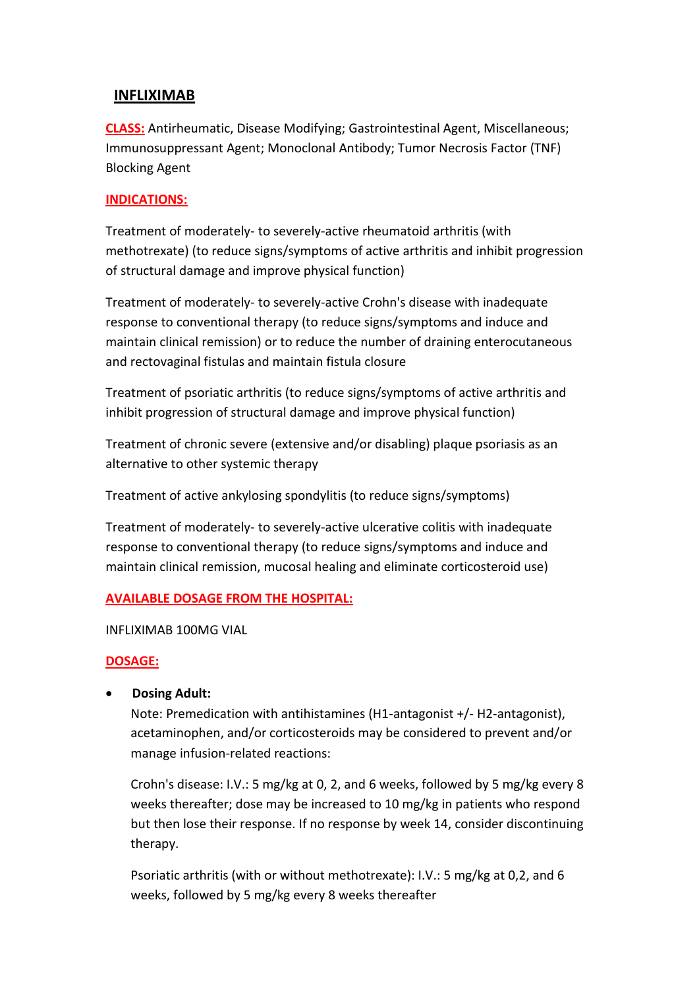# **INFLIXIMAB**

**CLASS:** Antirheumatic, Disease Modifying; Gastrointestinal Agent, Miscellaneous; Immunosuppressant Agent; Monoclonal Antibody; Tumor Necrosis Factor (TNF) Blocking Agent

### **INDICATIONS:**

Treatment of moderately- to severely-active rheumatoid arthritis (with methotrexate) (to reduce signs/symptoms of active arthritis and inhibit progression of structural damage and improve physical function)

Treatment of moderately- to severely-active Crohn's disease with inadequate response to conventional therapy (to reduce signs/symptoms and induce and maintain clinical remission) or to reduce the number of draining enterocutaneous and rectovaginal fistulas and maintain fistula closure

Treatment of psoriatic arthritis (to reduce signs/symptoms of active arthritis and inhibit progression of structural damage and improve physical function)

Treatment of chronic severe (extensive and/or disabling) plaque psoriasis as an alternative to other systemic therapy

Treatment of active ankylosing spondylitis (to reduce signs/symptoms)

Treatment of moderately- to severely-active ulcerative colitis with inadequate response to conventional therapy (to reduce signs/symptoms and induce and maintain clinical remission, mucosal healing and eliminate corticosteroid use)

#### **AVAILABLE DOSAGE FROM THE HOSPITAL:**

INFLIXIMAB 100MG VIAL

#### **DOSAGE:**

**Dosing Adult:**

Note: Premedication with antihistamines (H1-antagonist +/- H2-antagonist), acetaminophen, and/or corticosteroids may be considered to prevent and/or manage infusion-related reactions:

Crohn's disease: I.V.: 5 mg/kg at 0, 2, and 6 weeks, followed by 5 mg/kg every 8 weeks thereafter; dose may be increased to 10 mg/kg in patients who respond but then lose their response. If no response by week 14, consider discontinuing therapy.

Psoriatic arthritis (with or without methotrexate): I.V.: 5 mg/kg at 0,2, and 6 weeks, followed by 5 mg/kg every 8 weeks thereafter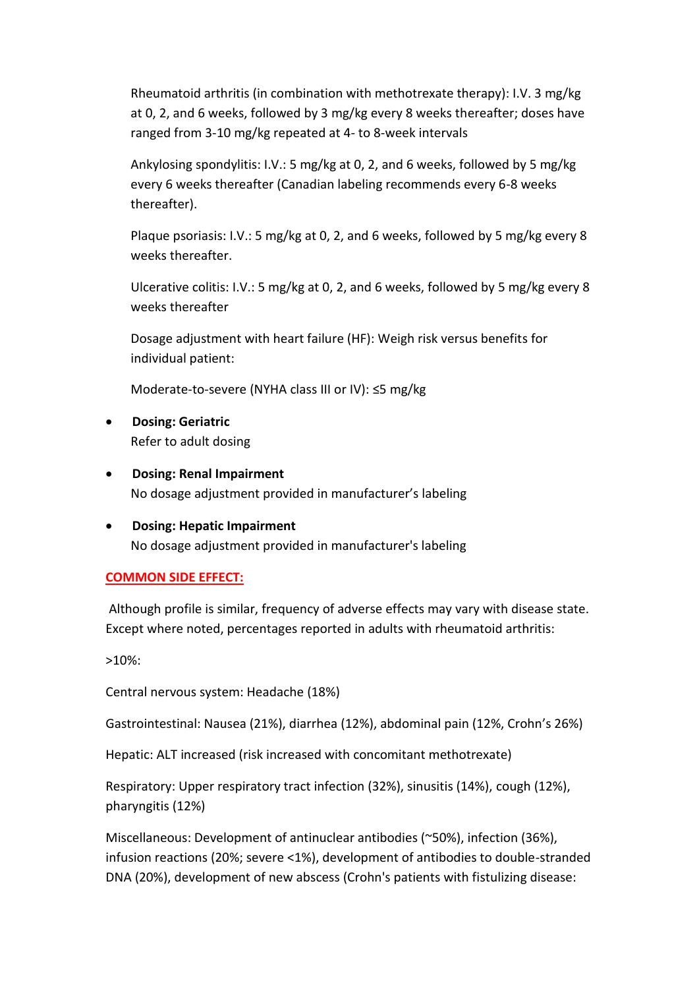Rheumatoid arthritis (in combination with methotrexate therapy): I.V. 3 mg/kg at 0, 2, and 6 weeks, followed by 3 mg/kg every 8 weeks thereafter; doses have ranged from 3-10 mg/kg repeated at 4- to 8-week intervals

Ankylosing spondylitis: I.V.: 5 mg/kg at 0, 2, and 6 weeks, followed by 5 mg/kg every 6 weeks thereafter (Canadian labeling recommends every 6-8 weeks thereafter).

Plaque psoriasis: I.V.: 5 mg/kg at 0, 2, and 6 weeks, followed by 5 mg/kg every 8 weeks thereafter.

Ulcerative colitis: I.V.: 5 mg/kg at 0, 2, and 6 weeks, followed by 5 mg/kg every 8 weeks thereafter

Dosage adjustment with heart failure (HF): Weigh risk versus benefits for individual patient:

Moderate-to-severe (NYHA class III or IV): ≤5 mg/kg

- **Dosing: Geriatric**  Refer to adult dosing
- **Dosing: Renal Impairment** No dosage adjustment provided in manufacturer's labeling
- **Dosing: Hepatic Impairment**  No dosage adjustment provided in manufacturer's labeling

## **COMMON SIDE EFFECT:**

Although profile is similar, frequency of adverse effects may vary with disease state. Except where noted, percentages reported in adults with rheumatoid arthritis:

>10%:

Central nervous system: Headache (18%)

Gastrointestinal: Nausea (21%), diarrhea (12%), abdominal pain (12%, Crohn's 26%)

Hepatic: ALT increased (risk increased with concomitant methotrexate)

Respiratory: Upper respiratory tract infection (32%), sinusitis (14%), cough (12%), pharyngitis (12%)

Miscellaneous: Development of antinuclear antibodies (~50%), infection (36%), infusion reactions (20%; severe <1%), development of antibodies to double-stranded DNA (20%), development of new abscess (Crohn's patients with fistulizing disease: